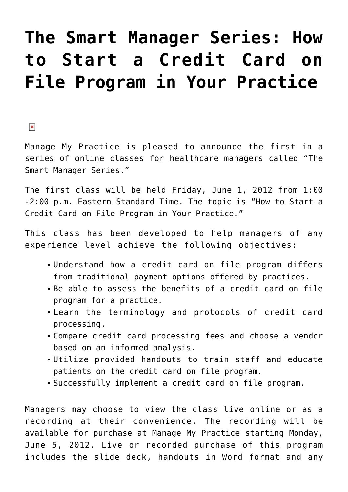## **[The Smart Manager Series: How](https://managemypractice.com/the-smart-manager-series-how-to-start-a-credit-card-on-file-program-in-your-practice/) [to Start a Credit Card on](https://managemypractice.com/the-smart-manager-series-how-to-start-a-credit-card-on-file-program-in-your-practice/) [File Program in Your Practice](https://managemypractice.com/the-smart-manager-series-how-to-start-a-credit-card-on-file-program-in-your-practice/)**

 $\pmb{\times}$ 

Manage My Practice is pleased to announce the first in a series of online classes for healthcare managers called "The Smart Manager Series."

The first class will be held Friday, June 1, 2012 from 1:00 -2:00 p.m. Eastern Standard Time. The topic is "How to Start a Credit Card on File Program in Your Practice."

This class has been developed to help managers of any experience level achieve the following objectives:

- Understand how a credit card on file program differs from traditional payment options offered by practices.
- Be able to assess the benefits of a credit card on file program for a practice.
- Learn the terminology and protocols of credit card processing.
- Compare credit card processing fees and choose a vendor based on an informed analysis.
- Utilize provided handouts to train staff and educate patients on the credit card on file program.
- Successfully implement a credit card on file program.

Managers may choose to view the class live online or as a recording at their convenience. The recording will be available for purchase at Manage My Practice starting Monday, June 5, 2012. Live or recorded purchase of this program includes the slide deck, handouts in Word format and any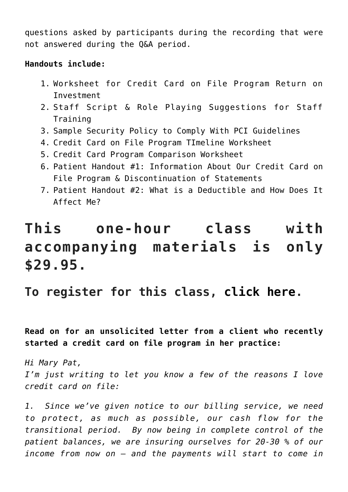questions asked by participants during the recording that were not answered during the Q&A period.

## **Handouts include:**

- 1. Worksheet for Credit Card on File Program Return on Investment
- 2. Staff Script & Role Playing Suggestions for Staff Training
- 3. Sample Security Policy to Comply With PCI Guidelines
- 4. Credit Card on File Program TImeline Worksheet
- 5. Credit Card Program Comparison Worksheet
- 6. Patient Handout #1: Information About Our Credit Card on File Program & Discontinuation of Statements
- 7. Patient Handout #2: What is a Deductible and How Does It Affect Me?

## **This one-hour class with accompanying materials is only \$29.95.**

## **To register for this class, [click here.](https://student.gototraining.com/r/834611031932681472)**

**Read on for an unsolicited letter from a client who recently started a credit card on file program in her practice:**

*Hi Mary Pat, I'm just writing to let you know a few of the reasons I love credit card on file:*

*1. Since we've given notice to our billing service, we need to protect, as much as possible, our cash flow for the transitional period. By now being in complete control of the patient balances, we are insuring ourselves for 20-30 % of our income from now on – and the payments will start to come in*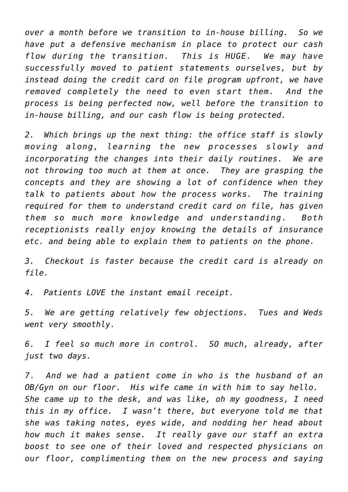*over a month before we transition to in-house billing. So we have put a defensive mechanism in place to protect our cash flow during the transition. This is HUGE. We may have successfully moved to patient statements ourselves, but by instead doing the credit card on file program upfront, we have removed completely the need to even start them. And the process is being perfected now, well before the transition to in-house billing, and our cash flow is being protected.*

*2. Which brings up the next thing: the office staff is slowly moving along, learning the new processes slowly and incorporating the changes into their daily routines. We are not throwing too much at them at once. They are grasping the concepts and they are showing a lot of confidence when they talk to patients about how the process works. The training required for them to understand credit card on file, has given them so much more knowledge and understanding. Both receptionists really enjoy knowing the details of insurance etc. and being able to explain them to patients on the phone.*

*3. Checkout is faster because the credit card is already on file.*

*4. Patients LOVE the instant email receipt.*

*5. We are getting relatively few objections. Tues and Weds went very smoothly.*

*6. I feel so much more in control. SO much, already, after just two days.*

*7. And we had a patient come in who is the husband of an OB/Gyn on our floor. His wife came in with him to say hello. She came up to the desk, and was like, oh my goodness, I need this in my office. I wasn't there, but everyone told me that she was taking notes, eyes wide, and nodding her head about how much it makes sense. It really gave our staff an extra boost to see one of their loved and respected physicians on our floor, complimenting them on the new process and saying*